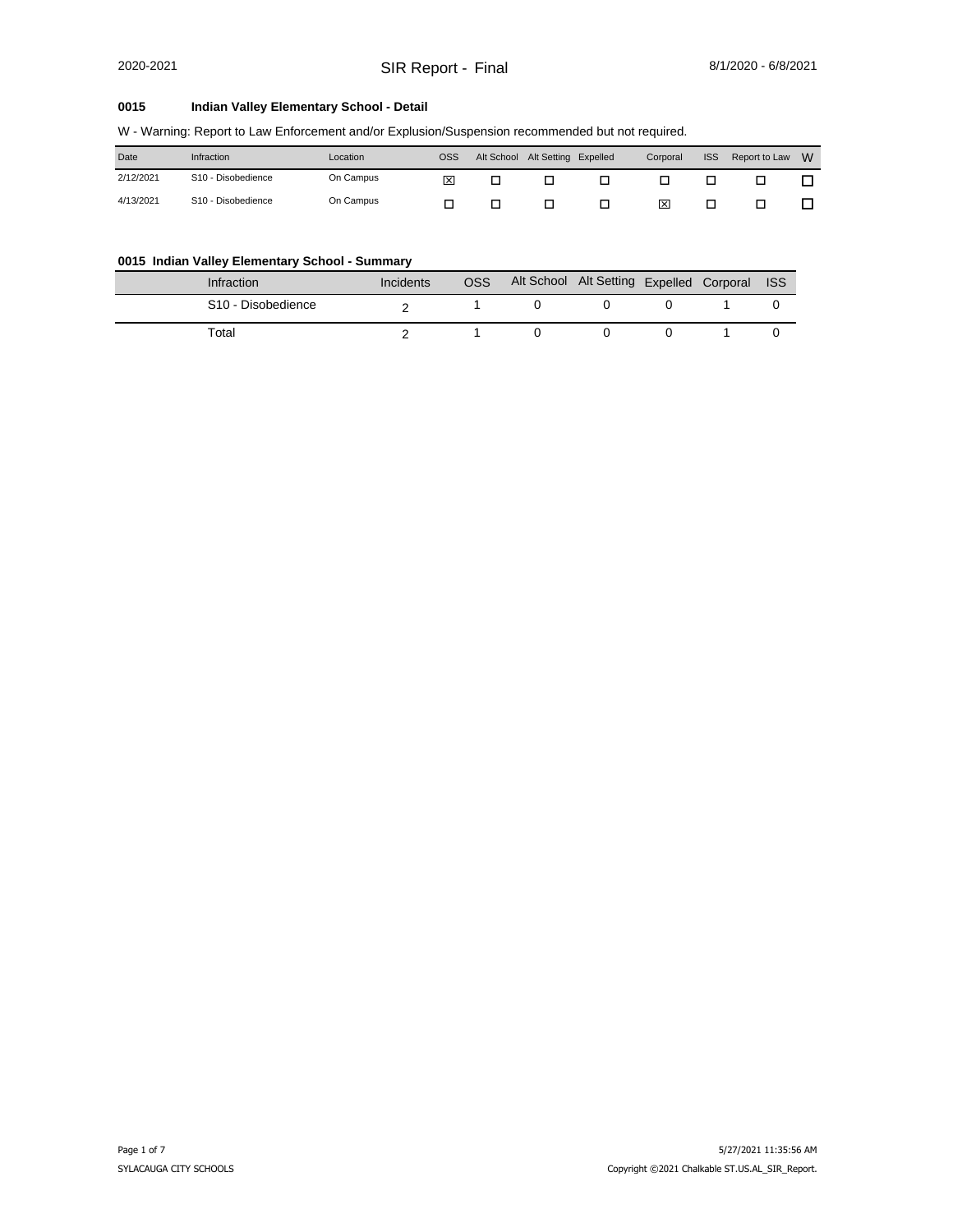#### **0015 Indian Valley Elementary School - Detail**

|  | W - Warning: Report to Law Enforcement and/or Explusion/Suspension recommended but not required. |  |
|--|--------------------------------------------------------------------------------------------------|--|
|  |                                                                                                  |  |

| Date      | Infraction                     | Location  | OSS | Alt School | Alt Setting Expelled | Corporal | <b>ISS</b> | Report to Law | - W |
|-----------|--------------------------------|-----------|-----|------------|----------------------|----------|------------|---------------|-----|
| 2/12/2021 | S <sub>10</sub> - Disobedience | On Campus | 冈   |            |                      |          |            |               |     |
| 4/13/2021 | S <sub>10</sub> - Disobedience | On Campus |     |            |                      | ⊠        |            |               |     |

#### **0015 Indian Valley Elementary School - Summary**

| <b>Infraction</b>              | Incidents | <b>OSS</b> | Alt School Alt Setting Expelled Corporal ISS |  |  |
|--------------------------------|-----------|------------|----------------------------------------------|--|--|
| S <sub>10</sub> - Disobedience |           |            |                                              |  |  |
| Total                          |           |            |                                              |  |  |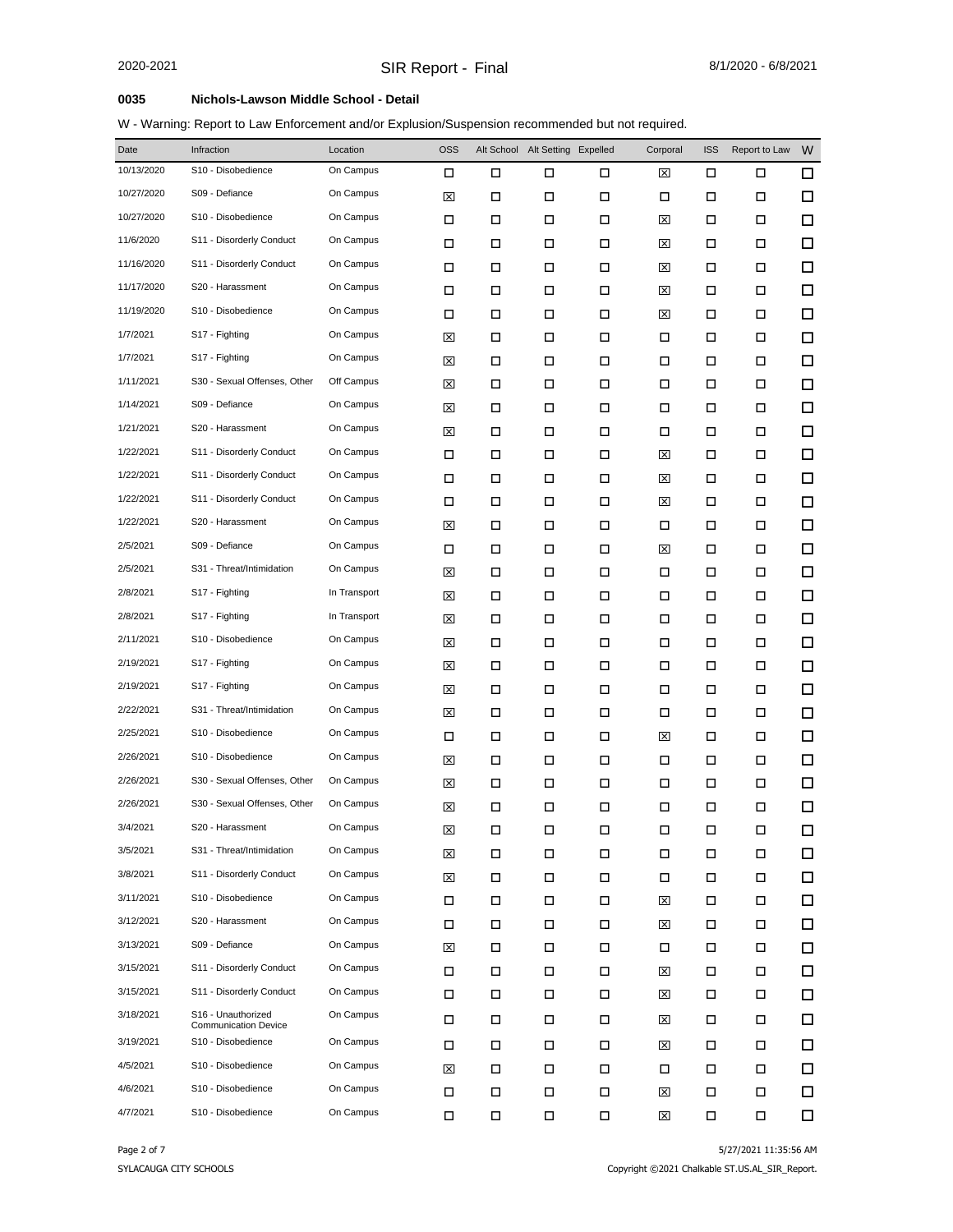### **0035 Nichols-Lawson Middle School - Detail**

W - Warning: Report to Law Enforcement and/or Explusion/Suspension recommended but not required.

| Date       | Infraction                                        | Location     | <b>OSS</b> |   | Alt School Alt Setting Expelled |        | Corporal | <b>ISS</b> | Report to Law | W      |
|------------|---------------------------------------------------|--------------|------------|---|---------------------------------|--------|----------|------------|---------------|--------|
| 10/13/2020 | S10 - Disobedience                                | On Campus    | □          | □ | □                               | □      | ⊠        | □          | □             | $\Box$ |
| 10/27/2020 | S09 - Defiance                                    | On Campus    | ⊠          | □ | □                               | □      | □        | □          | □             | □      |
| 10/27/2020 | S10 - Disobedience                                | On Campus    | □          | □ | П                               | П      | ⊠        | □          | □             | $\Box$ |
| 11/6/2020  | S11 - Disorderly Conduct                          | On Campus    | □          | □ | □                               | □      | ⊠        | □          | □             | $\Box$ |
| 11/16/2020 | S11 - Disorderly Conduct                          | On Campus    | □          | □ | П                               | П      | ⊠        | □          | □             | $\Box$ |
| 11/17/2020 | S20 - Harassment                                  | On Campus    | □          | □ | □                               | □      | ⊠        | □          | □             | $\Box$ |
| 11/19/2020 | S10 - Disobedience                                | On Campus    | □          | □ | □                               | □      | ⊠        | □          | □             | $\Box$ |
| 1/7/2021   | S17 - Fighting                                    | On Campus    | ⊠          | □ | □                               | □      | □        | □          | □             | $\Box$ |
| 1/7/2021   | S17 - Fighting                                    | On Campus    | ⊠          | □ | □                               | □      | □        | □          | □             | $\Box$ |
| 1/11/2021  | S30 - Sexual Offenses, Other                      | Off Campus   | ⊠          | □ | П                               | □      | □        | □          | □             | $\Box$ |
| 1/14/2021  | S09 - Defiance                                    | On Campus    | ⊠          | □ | □                               | □      | □        | □          | □             | $\Box$ |
| 1/21/2021  | S20 - Harassment                                  | On Campus    | ⊠          | □ | □                               | □      | □        | □          | □             | $\Box$ |
| 1/22/2021  | S11 - Disorderly Conduct                          | On Campus    | □          | □ | □                               | П      | ⊠        | □          | □             | $\Box$ |
| 1/22/2021  | S11 - Disorderly Conduct                          | On Campus    | □          | □ | □                               | □      | ⊠        | □          | □             | $\Box$ |
| 1/22/2021  | S11 - Disorderly Conduct                          | On Campus    | □          | □ | □                               | П      | ⊠        | □          | □             | $\Box$ |
| 1/22/2021  | S20 - Harassment                                  | On Campus    | ⊠          | □ | □                               | □      | □        | □          | □             | $\Box$ |
| 2/5/2021   | S09 - Defiance                                    | On Campus    | □          | □ | □                               | □      | ⊠        | □          | □             | $\Box$ |
| 2/5/2021   | S31 - Threat/Intimidation                         | On Campus    | ⊠          | □ | □                               | □      | □        | □          | □             | $\Box$ |
| 2/8/2021   | S17 - Fighting                                    | In Transport | ⊠          | □ | □                               | □      | □        | □          | □             | □      |
| 2/8/2021   | S17 - Fighting                                    | In Transport | ⊠          | □ | □                               | □      | □        | □          | □             | □      |
| 2/11/2021  | S10 - Disobedience                                | On Campus    | ⊠          | □ | □                               | П      | □        | □          | □             | $\Box$ |
| 2/19/2021  | S17 - Fighting                                    | On Campus    | ⊠          | □ | П                               | □      | □        | □          | □             | $\Box$ |
| 2/19/2021  | S17 - Fighting                                    | On Campus    | ⊠          | □ | □                               | □      | □        | □          | □             | $\Box$ |
| 2/22/2021  | S31 - Threat/Intimidation                         | On Campus    | ⊠          | □ | □                               | □      | □        | □          | □             | $\Box$ |
| 2/25/2021  | S10 - Disobedience                                | On Campus    | □          | □ | П                               | $\Box$ | ⊠        | □          | □             | $\Box$ |
| 2/26/2021  | S10 - Disobedience                                | On Campus    | ⊠          | □ | □                               | □      | □        | □          | □             | $\Box$ |
| 2/26/2021  | S30 - Sexual Offenses, Other                      | On Campus    | ⊠          | □ | □                               | □      | □        | □          | □             | $\Box$ |
| 2/26/2021  | S30 - Sexual Offenses, Other                      | On Campus    | ⊠          | □ | □                               | □      | □        | □          | □             | $\Box$ |
| 3/4/2021   | S20 - Harassment                                  | On Campus    | ⊠          | □ | □                               | □      | □        | □          | □             | $\Box$ |
| 3/5/2021   | S31 - Threat/Intimidation                         | On Campus    | ⊠          | □ | □                               | □      | □        | □          | □             | 口      |
| 3/8/2021   | S11 - Disorderly Conduct                          | On Campus    | ⊠          | □ | П                               | П      | □        | □          | □             | □      |
| 3/11/2021  | S10 - Disobedience                                | On Campus    | □          | □ | □                               | □      | ⊠        | □          | □             | $\Box$ |
| 3/12/2021  | S20 - Harassment                                  | On Campus    | □          | □ | □                               | □      | ⊠        | □          | □             | 口      |
| 3/13/2021  | S09 - Defiance                                    | On Campus    | ⊠          | □ | □                               | □      | □        | □          | □             | 口      |
| 3/15/2021  | S11 - Disorderly Conduct                          | On Campus    | □          | □ | П                               | □      | ⊠        | □          | □             | 口      |
| 3/15/2021  | S11 - Disorderly Conduct                          | On Campus    | □          | □ | □                               | □      | ⊠        | □          | □             | $\Box$ |
| 3/18/2021  | S16 - Unauthorized<br><b>Communication Device</b> | On Campus    | □          | □ | □                               | □      | ⊠        | □          | □             | 口      |
| 3/19/2021  | S10 - Disobedience                                | On Campus    | □          | □ | □                               | □      | ⊠        | □          | □             | 口      |
| 4/5/2021   | S10 - Disobedience                                | On Campus    | ⊠          | □ | □                               | □      | □        | □          | □             | $\Box$ |
| 4/6/2021   | S10 - Disobedience                                | On Campus    | □          | □ | П                               | П      | ⊠        | □          | □             | 口      |
| 4/7/2021   | S10 - Disobedience                                | On Campus    | □          | □ | □                               | □      | ⊠        | □          | □             | $\Box$ |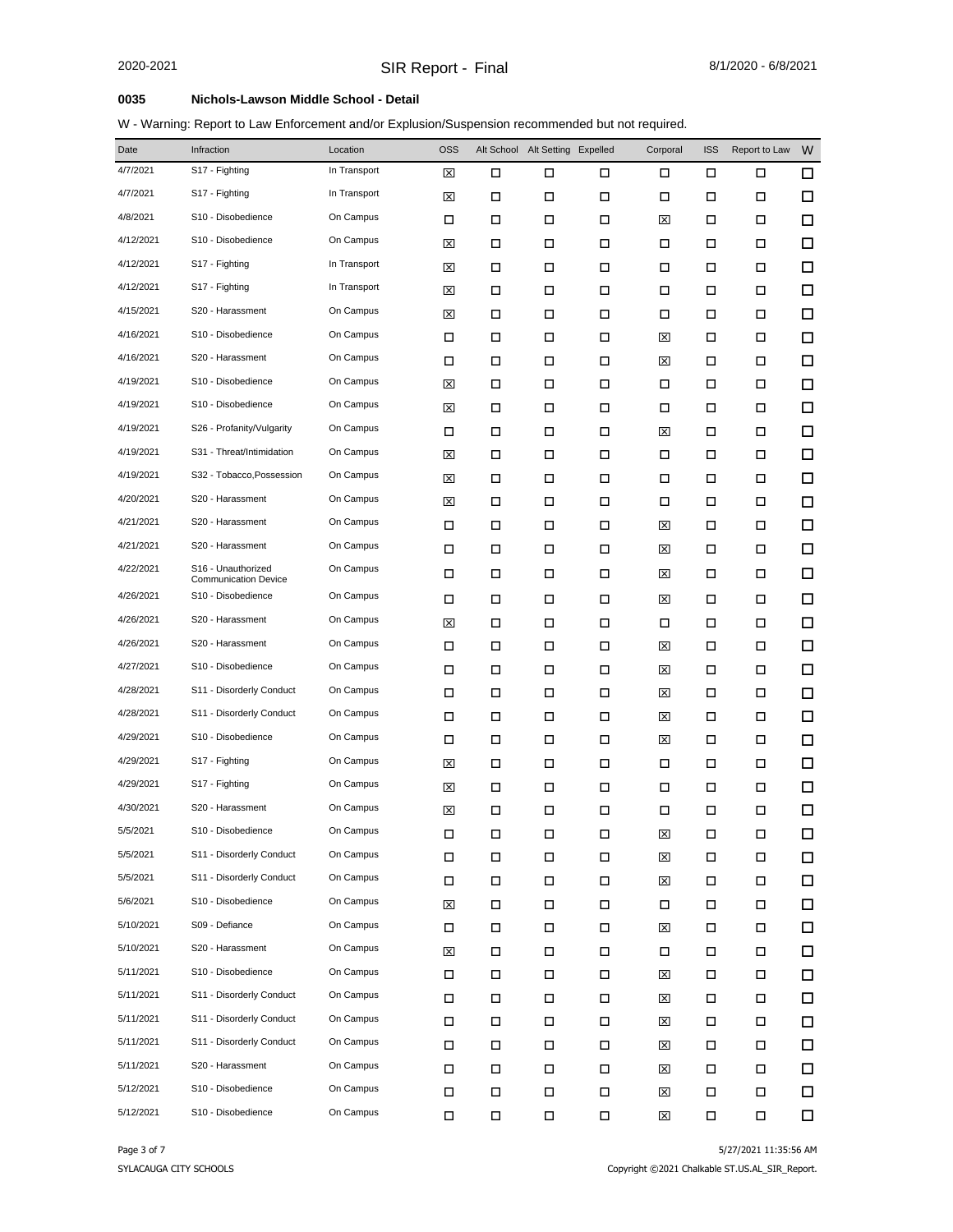### **0035 Nichols-Lawson Middle School - Detail**

W - Warning: Report to Law Enforcement and/or Explusion/Suspension recommended but not required.

| Date      | Infraction                                        | Location     | <b>OSS</b> |   | Alt School Alt Setting Expelled |        | Corporal | <b>ISS</b> | Report to Law | W      |
|-----------|---------------------------------------------------|--------------|------------|---|---------------------------------|--------|----------|------------|---------------|--------|
| 4/7/2021  | S17 - Fighting                                    | In Transport | ⊠          | □ | □                               | □      | □        | □          | □             | □      |
| 4/7/2021  | S17 - Fighting                                    | In Transport | ⊠          | □ | □                               | □      | □        | □          | □             | 口      |
| 4/8/2021  | S10 - Disobedience                                | On Campus    | □          | □ | □                               | □      | ⊠        | □          | □             | $\Box$ |
| 4/12/2021 | S10 - Disobedience                                | On Campus    | ⊠          | □ | □                               | □      | □        | □          | □             | $\Box$ |
| 4/12/2021 | S17 - Fighting                                    | In Transport | ⊠          | □ | □                               | □      | □        | □          | □             | $\Box$ |
| 4/12/2021 | S17 - Fighting                                    | In Transport | ⊠          | □ | □                               | □      | □        | П          | □             | □      |
| 4/15/2021 | S20 - Harassment                                  | On Campus    | ⊠          | □ | □                               | □      | □        | П          | □             | $\Box$ |
| 4/16/2021 | S10 - Disobedience                                | On Campus    | □          | □ | □                               | □      | ⊠        | □          | □             | □      |
| 4/16/2021 | S20 - Harassment                                  | On Campus    | □          | □ | □                               | □      | ⊠        | □          | □             | $\Box$ |
| 4/19/2021 | S10 - Disobedience                                | On Campus    | ⊠          | □ | □                               | □      | □        | П          | □             | □      |
| 4/19/2021 | S10 - Disobedience                                | On Campus    | ⊠          | □ | □                               | □      | □        | П          | □             | $\Box$ |
| 4/19/2021 | S26 - Profanity/Vulgarity                         | On Campus    | □          | □ | □                               | □      | ⊠        | □          | □             | □      |
| 4/19/2021 | S31 - Threat/Intimidation                         | On Campus    | ⊠          | □ | □                               | □      | □        | П          | □             | $\Box$ |
| 4/19/2021 | S32 - Tobacco, Possession                         | On Campus    | ⊠          | □ | □                               | □      | □        | □          | □             | □      |
| 4/20/2021 | S20 - Harassment                                  | On Campus    | ⊠          | □ | □                               | □      | □        | П          | □             | $\Box$ |
| 4/21/2021 | S20 - Harassment                                  | On Campus    | □          | □ | □                               | □      | ⊠        | □          | □             | □      |
| 4/21/2021 | S20 - Harassment                                  | On Campus    | □          | □ | □                               | □      | ⊠        | □          | □             | $\Box$ |
| 4/22/2021 | S16 - Unauthorized<br><b>Communication Device</b> | On Campus    | □          | □ | □                               | □      | ⊠        | □          | □             | □      |
| 4/26/2021 | S <sub>10</sub> - Disobedience                    | On Campus    | □          | □ | □                               | □      | ⊠        | □          | □             | $\Box$ |
| 4/26/2021 | S20 - Harassment                                  | On Campus    | ⊠          | □ | □                               | □      | □        | □          | □             | $\Box$ |
| 4/26/2021 | S20 - Harassment                                  | On Campus    | □          | □ | □                               | □      | ⊠        | □          | □             | $\Box$ |
| 4/27/2021 | S10 - Disobedience                                | On Campus    | □          | □ | □                               | □      | ⊠        | □          | □             | $\Box$ |
| 4/28/2021 | S11 - Disorderly Conduct                          | On Campus    | □          | □ | □                               | □      | ⊠        | □          | □             | □      |
| 4/28/2021 | S11 - Disorderly Conduct                          | On Campus    | □          | □ | □                               | □      | ⊠        | П          | □             | □      |
| 4/29/2021 | S10 - Disobedience                                | On Campus    | □          | □ | □                               | □      | ⊠        | П          | □             | $\Box$ |
| 4/29/2021 | S17 - Fighting                                    | On Campus    | ⊠          | □ | □                               | □      | □        | □          | □             | $\Box$ |
| 4/29/2021 | S17 - Fighting                                    | On Campus    | ⊠          | □ | □                               | □      | □        | П          | □             | □      |
| 4/30/2021 | S20 - Harassment                                  | On Campus    | ⊠          | □ | □                               | □      | □        | □          | □             | $\Box$ |
| 5/5/2021  | S10 - Disobedience                                | On Campus    | □          | Д | □                               | □      | 区        | □          | П             | □      |
| 5/5/2021  | S11 - Disorderly Conduct                          | On Campus    | П          | □ | □                               | П      | ⊠        | П          | □             | □      |
| 5/5/2021  | S11 - Disorderly Conduct                          | On Campus    | □          | П | П                               | П      | ⊠        | П          | □             | $\Box$ |
| 5/6/2021  | S10 - Disobedience                                | On Campus    | ⊠          | □ | П                               | П      | П        | $\Box$     | П             | □      |
| 5/10/2021 | S09 - Defiance                                    | On Campus    | $\Box$     | □ | □                               | $\Box$ | ⊠        | $\Box$     | □             | $\Box$ |
| 5/10/2021 | S20 - Harassment                                  | On Campus    | ⊠          | □ | П                               | П      | □        | П          | П             | 口      |
| 5/11/2021 | S10 - Disobedience                                | On Campus    | □          | □ | □                               | □      | ⊠        | □          | □             | □      |
| 5/11/2021 | S11 - Disorderly Conduct                          | On Campus    | $\Box$     | □ | □                               | □      | ⊠        | $\Box$     | □             | 口      |
| 5/11/2021 | S11 - Disorderly Conduct                          | On Campus    | $\Box$     | □ | □                               | □      | ⊠        |            | □             | $\Box$ |
| 5/11/2021 | S11 - Disorderly Conduct                          | On Campus    | П          | □ | П                               | П      | ⊠        | $\Box$     | □             | □      |
| 5/11/2021 | S20 - Harassment                                  | On Campus    | □          | □ | □                               | □      | ⊠        | □          | □             | $\Box$ |
| 5/12/2021 | S10 - Disobedience                                | On Campus    | □          | □ | П                               | $\Box$ | ⊠        | $\Box$     | □             | $\Box$ |
| 5/12/2021 | S10 - Disobedience                                | On Campus    | П          | □ | $\Box$                          | $\Box$ | ⊠        | П          | □             | Π.     |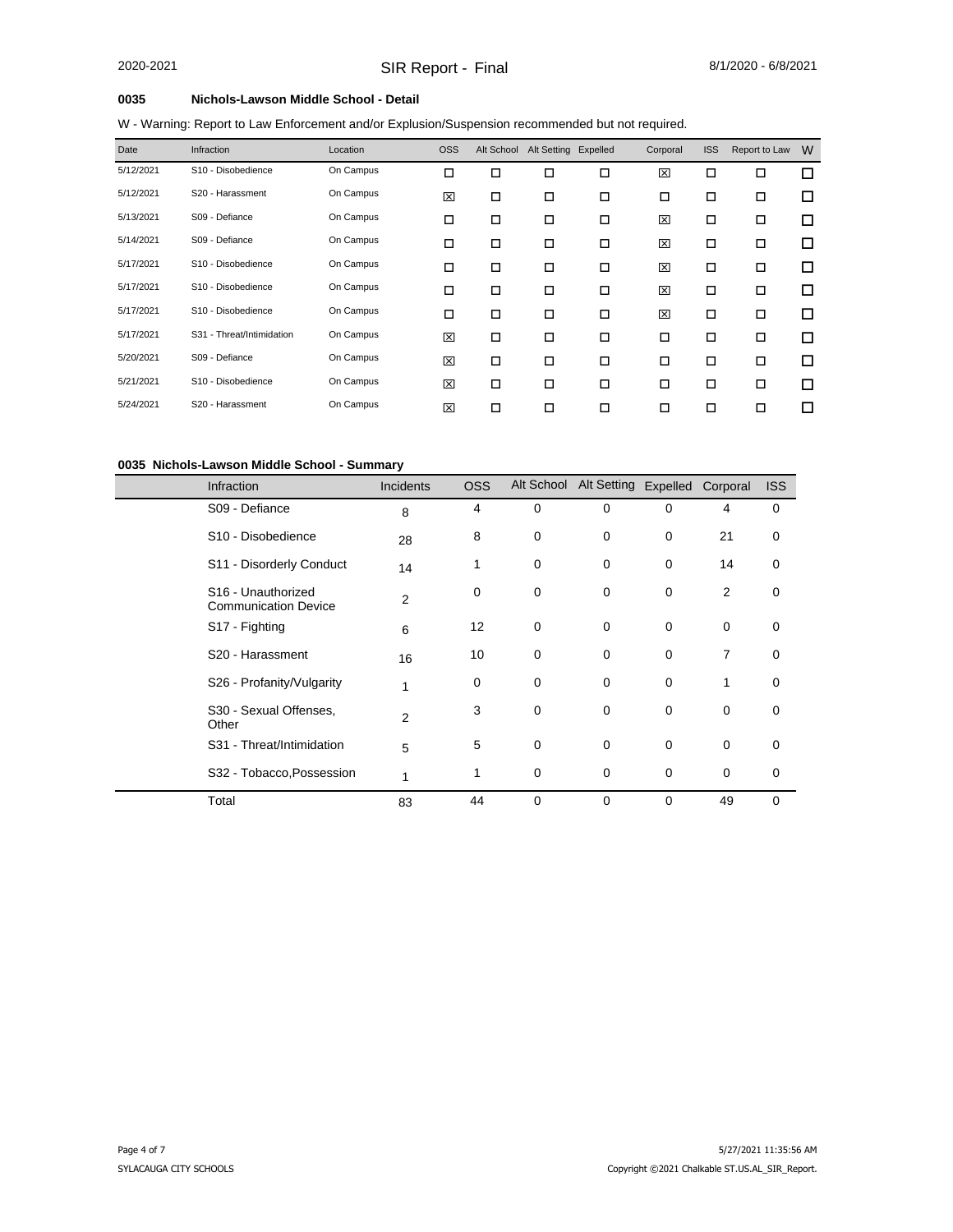### **0035 Nichols-Lawson Middle School - Detail**

W - Warning: Report to Law Enforcement and/or Explusion/Suspension recommended but not required.

| Date      | <b>Infraction</b>         | Location  | <b>OSS</b> | Alt School | Alt Setting Expelled |        | Corporal | <b>ISS</b> | Report to Law | W |
|-----------|---------------------------|-----------|------------|------------|----------------------|--------|----------|------------|---------------|---|
| 5/12/2021 | S10 - Disobedience        | On Campus | $\Box$     | □          | □                    | 口      | 図        | о          | $\Box$        | □ |
| 5/12/2021 | S20 - Harassment          | On Campus | 図          | □          | □                    | □      | □        | □          | $\Box$        | □ |
| 5/13/2021 | S09 - Defiance            | On Campus | □          | □          | □                    | $\Box$ | 図        | □          | $\Box$        | □ |
| 5/14/2021 | S09 - Defiance            | On Campus | □          | □          | □                    | □      | 図        | □          | □             | □ |
| 5/17/2021 | S10 - Disobedience        | On Campus | □          | □          | $\Box$               | $\Box$ | 図        | □          | $\Box$        | □ |
| 5/17/2021 | S10 - Disobedience        | On Campus | □          | □          | □                    | □      | 図        | □          | □             | □ |
| 5/17/2021 | S10 - Disobedience        | On Campus | □          | □          | □                    | □      | 図        | □          | $\Box$        | □ |
| 5/17/2021 | S31 - Threat/Intimidation | On Campus | 図          | $\Box$     | □                    | $\Box$ | □        | □          | $\Box$        | □ |
| 5/20/2021 | S09 - Defiance            | On Campus | 図          | □          | $\Box$               | $\Box$ | □        | □          | $\Box$        | □ |
| 5/21/2021 | S10 - Disobedience        | On Campus | 図          | □          | □                    | □      | □        | □          | □             | □ |
| 5/24/2021 | S20 - Harassment          | On Campus | 図          | ◻          | □                    | □      | □        | П          | □             | п |

#### **0035 Nichols-Lawson Middle School - Summary**

| <b>Infraction</b>                                             | <b>Incidents</b> | <b>OSS</b> | Alt School | Alt Setting Expelled Corporal |             |    | <b>ISS</b>  |
|---------------------------------------------------------------|------------------|------------|------------|-------------------------------|-------------|----|-------------|
| S09 - Defiance                                                | 8                | 4          | 0          | $\mathbf 0$                   | $\mathbf 0$ | 4  | 0           |
| S <sub>10</sub> - Disobedience                                | 28               | 8          | 0          | 0                             | 0           | 21 | 0           |
| S11 - Disorderly Conduct                                      | 14               | 1          | 0          | 0                             | 0           | 14 | 0           |
| S <sub>16</sub> - Unauthorized<br><b>Communication Device</b> | 2                | 0          | 0          | 0                             | 0           | 2  | 0           |
| S17 - Fighting                                                | 6                | 12         | 0          | 0                             | 0           | 0  | 0           |
| S20 - Harassment                                              | 16               | 10         | 0          | 0                             | 0           | 7  | 0           |
| S26 - Profanity/Vulgarity                                     | 1                | 0          | 0          | $\mathbf 0$                   | 0           | 1  | 0           |
| S30 - Sexual Offenses,<br>Other                               | $\overline{2}$   | 3          | 0          | $\mathbf 0$                   | $\mathbf 0$ | 0  | 0           |
| S31 - Threat/Intimidation                                     | 5                | 5          | 0          | $\mathbf 0$                   | 0           | 0  | $\mathbf 0$ |
| S32 - Tobacco, Possession                                     | 1                | 1          | 0          | 0                             | 0           | 0  | 0           |
| Total                                                         | 83               | 44         | 0          | $\mathbf 0$                   | $\Omega$    | 49 | $\Omega$    |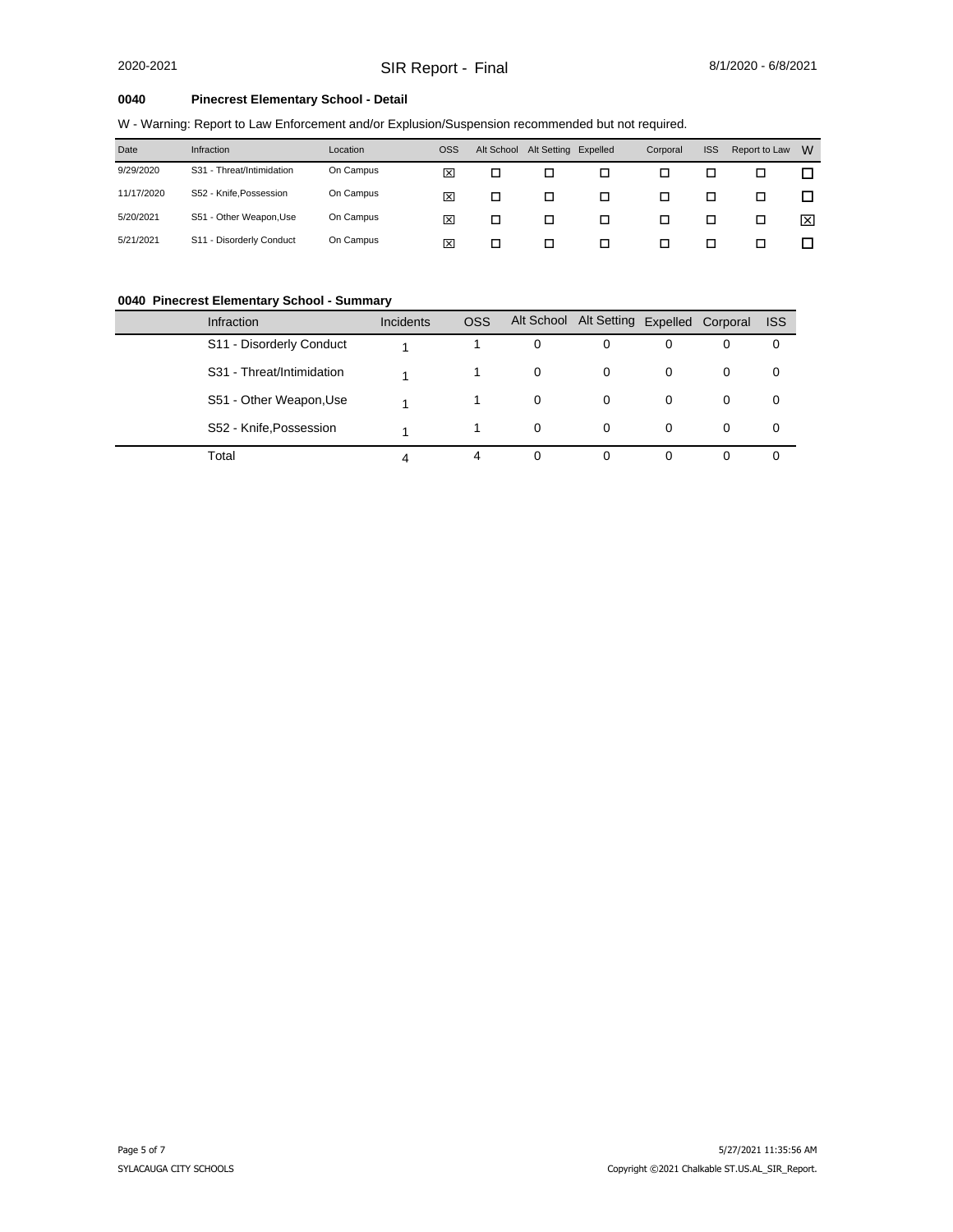#### **0040 Pinecrest Elementary School - Detail**

W - Warning: Report to Law Enforcement and/or Explusion/Suspension recommended but not required.

| Date       | Infraction                | Location  | <b>OSS</b> | Alt School | Alt Setting Expelled |   | Corporal | <b>ISS</b> | Report to Law | W |
|------------|---------------------------|-----------|------------|------------|----------------------|---|----------|------------|---------------|---|
| 9/29/2020  | S31 - Threat/Intimidation | On Campus | ⊠          | □          | □                    |   |          |            |               |   |
| 11/17/2020 | S52 - Knife.Possession    | On Campus | ⊠          | □          | □                    |   | □        |            |               |   |
| 5/20/2021  | S51 - Other Weapon, Use   | On Campus | ×          | □          | ◻                    | п | □        |            |               | ⊠ |
| 5/21/2021  | S11 - Disorderly Conduct  | On Campus | ⊠          | п          | п                    |   | □        | H          |               |   |

#### **0040 Pinecrest Elementary School - Summary**

| <b>Infraction</b>         | Incidents | <b>OSS</b> |   | Alt School Alt Setting Expelled Corporal |   |   | <b>ISS</b> |
|---------------------------|-----------|------------|---|------------------------------------------|---|---|------------|
| S11 - Disorderly Conduct  |           |            | 0 | $\Omega$                                 | 0 | 0 | 0          |
| S31 - Threat/Intimidation |           |            | 0 | $\Omega$                                 | 0 | 0 | 0          |
| S51 - Other Weapon, Use   |           |            | 0 | 0                                        | 0 | 0 | 0          |
| S52 - Knife, Possession   |           |            | 0 | 0                                        | 0 | 0 | 0          |
| Total                     | 4         | 4          | 0 | $\Omega$                                 | 0 |   |            |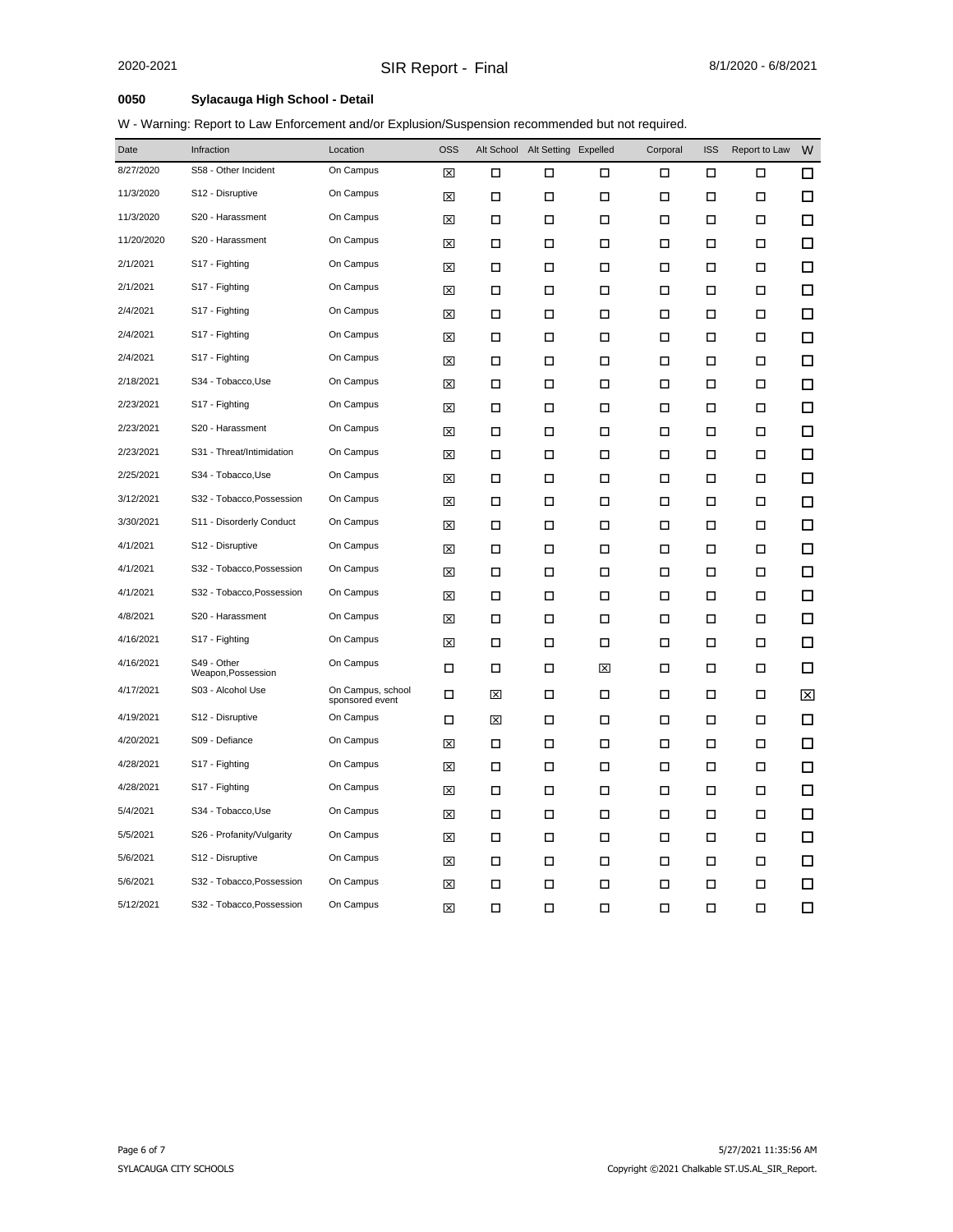## **0050 Sylacauga High School - Detail**

W - Warning: Report to Law Enforcement and/or Explusion/Suspension recommended but not required.

| Date       | Infraction                        | Location                             | <b>OSS</b> |   | Alt School Alt Setting Expelled |        | Corporal | <b>ISS</b> | Report to Law | W      |
|------------|-----------------------------------|--------------------------------------|------------|---|---------------------------------|--------|----------|------------|---------------|--------|
| 8/27/2020  | S58 - Other Incident              | On Campus                            | ⊠          | □ | □                               | □      | □        | П          | □             | ◻      |
| 11/3/2020  | S12 - Disruptive                  | On Campus                            | 図          | П | □                               | □      | □        | □          | □             | □      |
| 11/3/2020  | S20 - Harassment                  | On Campus                            | 図          | □ | □                               | □      | □        | □          | □             | □      |
| 11/20/2020 | S20 - Harassment                  | On Campus                            | 図          | □ | □                               | □      | □        | □          | □             | ◻      |
| 2/1/2021   | S17 - Fighting                    | On Campus                            | ⊠          | П | □                               | □      | □        | П          | □             | $\Box$ |
| 2/1/2021   | S17 - Fighting                    | On Campus                            | ⊠          | П | □                               | □      | □        | П          | □             | □      |
| 2/4/2021   | S17 - Fighting                    | On Campus                            | 図          | П | □                               | □      | □        | □          | □             | $\Box$ |
| 2/4/2021   | S17 - Fighting                    | On Campus                            | 図          | П | □                               | □      | □        | П          | □             | $\Box$ |
| 2/4/2021   | S17 - Fighting                    | On Campus                            | 図          | □ | □                               | □      | □        | □          | □             | $\Box$ |
| 2/18/2021  | S34 - Tobacco, Use                | On Campus                            | 図          | □ | □                               | □      | □        | □          | □             | □      |
| 2/23/2021  | S17 - Fighting                    | On Campus                            | 図          | □ | □                               | □      | □        | □          | □             | □      |
| 2/23/2021  | S20 - Harassment                  | On Campus                            | 図          | П | □                               | □      | □        | $\Box$     | □             | □      |
| 2/23/2021  | S31 - Threat/Intimidation         | On Campus                            | 図          | П | □                               | □      | □        | П          | □             | $\Box$ |
| 2/25/2021  | S34 - Tobacco, Use                | On Campus                            | 図          | П | □                               | □      | □        | П          | □             | $\Box$ |
| 3/12/2021  | S32 - Tobacco, Possession         | On Campus                            | 図          | П | □                               | □      | □        | □          | □             | □      |
| 3/30/2021  | S11 - Disorderly Conduct          | On Campus                            | 囟          | □ | □                               | □      | □        | □          | □             | $\Box$ |
| 4/1/2021   | S12 - Disruptive                  | On Campus                            | ⊠          | □ | □                               | □      | □        | □          | □             | □      |
| 4/1/2021   | S32 - Tobacco, Possession         | On Campus                            | 図          | □ | □                               | □      | □        | □          | □             | $\Box$ |
| 4/1/2021   | S32 - Tobacco, Possession         | On Campus                            | ⊠          | П | □                               | □      | □        | □          | П             | $\Box$ |
| 4/8/2021   | S20 - Harassment                  | On Campus                            | 図          | П | □                               | □      | □        | $\Box$     | □             | □      |
| 4/16/2021  | S17 - Fighting                    | On Campus                            | 図          | П | □                               | □      | □        | □          | □             | □      |
| 4/16/2021  | S49 - Other<br>Weapon, Possession | On Campus                            | □          | □ | □                               | ⊠      | □        | □          | □             | □      |
| 4/17/2021  | S03 - Alcohol Use                 | On Campus, school<br>sponsored event | □          | ⊠ | □                               | □      | □        | □          | □             | ⊠      |
| 4/19/2021  | S12 - Disruptive                  | On Campus                            | □          | 図 | □                               | □      | □        | П          | □             | $\Box$ |
| 4/20/2021  | S09 - Defiance                    | On Campus                            | ⊠          | П | □                               | □      | □        | $\Box$     | □             | $\Box$ |
| 4/28/2021  | S17 - Fighting                    | On Campus                            | 図          | П | □                               | □      | □        | П          | □             | $\Box$ |
| 4/28/2021  | S17 - Fighting                    | On Campus                            | 囟          | П | □                               | □      | □        | □          | $\Box$        | □      |
| 5/4/2021   | S34 - Tobacco, Use                | On Campus                            | ⊠          | □ | □                               | □      | □        | □          | □             | □      |
| 5/5/2021   | S26 - Profanity/Vulgarity         | On Campus                            | 囟          | □ | □                               | □      | □        | □          | □             | $\Box$ |
| 5/6/2021   | S12 - Disruptive                  | On Campus                            | ⊠          | П | □                               | □      | □        | □          | □             | □      |
| 5/6/2021   | S32 - Tobacco, Possession         | On Campus                            | 図          | П | □                               | □      | □        | $\Box$     | П             | □      |
| 5/12/2021  | S32 - Tobacco, Possession         | On Campus                            | 図          | П | □                               | $\Box$ | □        | □          | $\Box$        | □      |